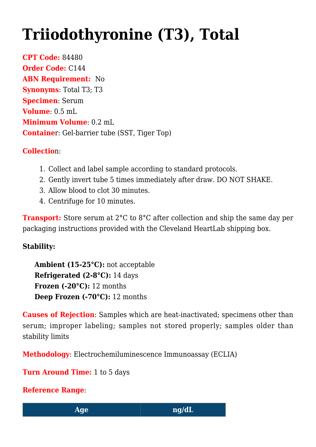## **[Triiodothyronine \(T3\), Total](https://www.clevelandheartlab.com/tests/triiodothyronine-t3-total/)**

**CPT Code:** 84480 **Order Code:** C144 **ABN Requirement:** No **Synonyms**: Total T3; T3 **Specimen**: Serum **Volume**: 0.5 mL **Minimum Volume**: 0.2 mL **Containe**r: Gel-barrier tube (SST, Tiger Top)

## **Collectio**n:

- 1. Collect and label sample according to standard protocols.
- 2. Gently invert tube 5 times immediately after draw. DO NOT SHAKE.
- 3. Allow blood to clot 30 minutes.
- 4. Centrifuge for 10 minutes.

**Transport:** Store serum at 2<sup>°</sup>C to 8<sup>°</sup>C after collection and ship the same day per packaging instructions provided with the Cleveland HeartLab shipping box.

## **Stability:**

**Ambient (15-25°C):** not acceptable **Refrigerated (2-8°C):** 14 days **Frozen (-20°C):** 12 months **Deep Frozen (-70°C):** 12 months

**Causes of Rejection**: Samples which are heat-inactivated; specimens other than serum; improper labeling; samples not stored properly; samples older than stability limits

**Methodology**: Electrochemiluminescence Immunoassay (ECLIA)

**Turn Around Time:** 1 to 5 days

**Reference Range**: